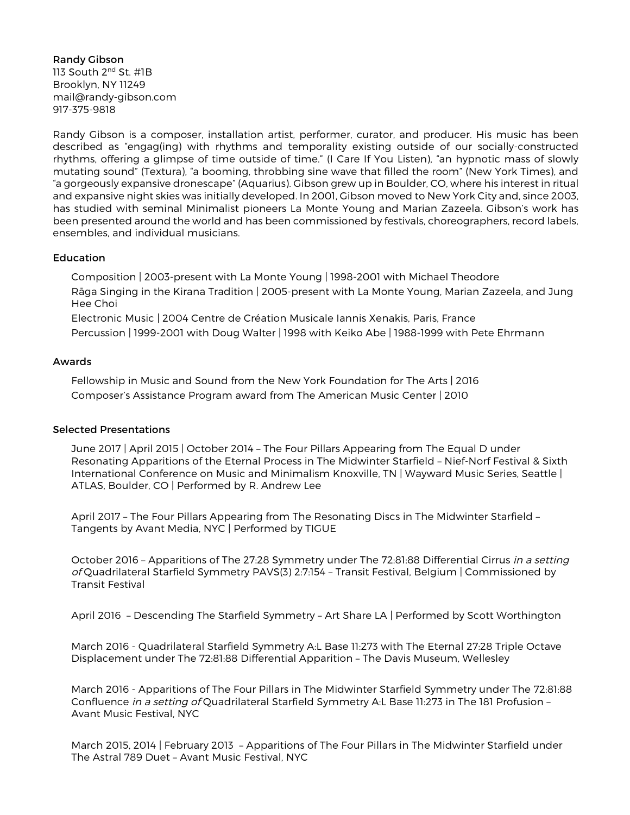Randy Gibson 113 South 2<sup>nd</sup> St. #1B Brooklyn, NY 11249 mail@randy-gibson.com 917-375-9818

Randy Gibson is a composer, installation artist, performer, curator, and producer. His music has been described as "engag(ing) with rhythms and temporality existing outside of our socially-constructed rhythms, offering a glimpse of time outside of time." (I Care If You Listen), "an hypnotic mass of slowly mutating sound" (Textura), "a booming, throbbing sine wave that filled the room" (New York Times), and "a gorgeously expansive dronescape" (Aquarius). Gibson grew up in Boulder, CO, where his interest in ritual and expansive night skies was initially developed. In 2001, Gibson moved to New York City and, since 2003, has studied with seminal Minimalist pioneers La Monte Young and Marian Zazeela. Gibson's work has been presented around the world and has been commissioned by festivals, choreographers, record labels, ensembles, and individual musicians.

## **Education**

Composition | 2003-present with La Monte Young | 1998-2001 with Michael Theodore Rāga Singing in the Kirana Tradition | 2005-present with La Monte Young, Marian Zazeela, and Jung Hee Choi

Electronic Music | 2004 Centre de Création Musicale Iannis Xenakis, Paris, France Percussion | 1999-2001 with Doug Walter | 1998 with Keiko Abe | 1988-1999 with Pete Ehrmann

## Awards

Fellowship in Music and Sound from the New York Foundation for The Arts | 2016 Composer's Assistance Program award from The American Music Center | 2010

## Selected Presentations

June 2017 | April 2015 | October 2014 – The Four Pillars Appearing from The Equal D under Resonating Apparitions of the Eternal Process in The Midwinter Starfield – Nief-Norf Festival & Sixth International Conference on Music and Minimalism Knoxville, TN | Wayward Music Series, Seattle | ATLAS, Boulder, CO | Performed by R. Andrew Lee

April 2017 – The Four Pillars Appearing from The Resonating Discs in The Midwinter Starfield – Tangents by Avant Media, NYC | Performed by TIGUE

October 2016 - Apparitions of The 27:28 Symmetry under The 72:81:88 Differential Cirrus in a setting of Quadrilateral Starfield Symmetry PAVS(3) 2:7:154 – Transit Festival, Belgium | Commissioned by Transit Festival

April 2016 – Descending The Starfield Symmetry – Art Share LA | Performed by Scott Worthington

March 2016 - Quadrilateral Starfield Symmetry A:L Base 11:273 with The Eternal 27:28 Triple Octave Displacement under The 72:81:88 Differential Apparition – The Davis Museum, Wellesley

March 2016 - Apparitions of The Four Pillars in The Midwinter Starfield Symmetry under The 72:81:88 Confluence in a setting of Quadrilateral Starfield Symmetry A:L Base 11:273 in The 181 Profusion -Avant Music Festival, NYC

March 2015, 2014 | February 2013 – Apparitions of The Four Pillars in The Midwinter Starfield under The Astral 789 Duet – Avant Music Festival, NYC